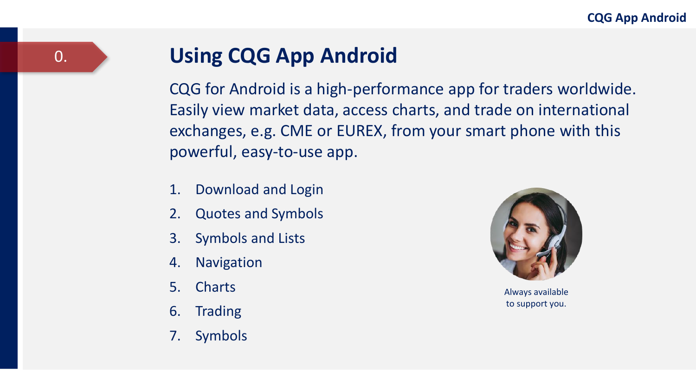### **Using CQG App Android**

CQG for Android is a high-performance app for traders worldwide. Easily view market data, access charts, and trade on international exchanges, e.g. CME or EUREX, from your smart phone with this powerful, easy-to-use app.

- 1. Download and Login
- 2. Quotes and Symbols
- 3. Symbols and Lists
- 4. Navigation
- 5. Charts
- 6. Trading
- 7. Symbols



Always available to support you.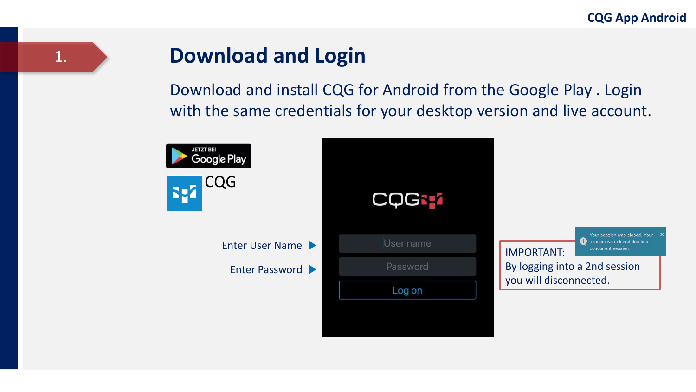### 1.

### **Download and Login**

Download and install CQG for Android from the Google Play . Login with the same credentials for your desktop version and live account.

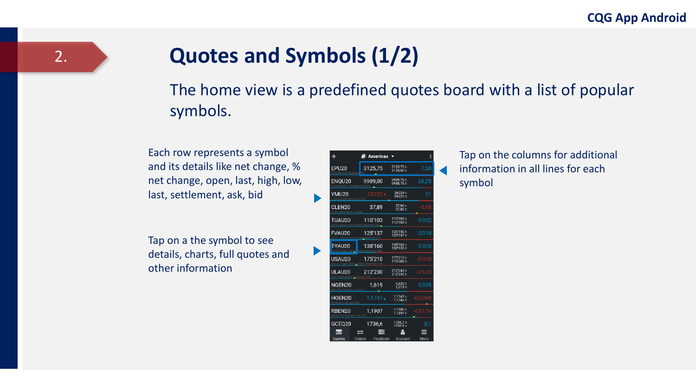### **Quotes and Symbols (1/2)**

The home view is a predefined quotes board with a list of popular symbols.

Each row represents a symbol and its details like net change, % net change, open, last, high, low, last, settlement, ask, bid

Tap on a the symbol to see details, charts, full quotes and other information

|             | $\blacksquare$ Americas $\blacktriangledown$ |                        | ŧ         |
|-------------|----------------------------------------------|------------------------|-----------|
| EPU20       | 3125,75                                      | 3125,75 A<br>3125,50 B | 7,50      |
| ENQU20      | 9989,00                                      | 9989,75 A<br>9988.75B  | 28.25     |
| YMU20       | 26222                                        | 26224 A<br>26221B      | 31        |
| CLEN20      | 37.89                                        | 37,90 A<br>37,89 B     | $-0.48$   |
| TUAU20      | 110'103                                      | 110'103A<br>110'102B   | 0'002     |
| FVAU20      | 125'137                                      | 125'140 A<br>125'137 B | 0'010     |
| TYAU20      | 138'160                                      | 138'160 A<br>138'155B  | 0'020     |
| USAU20      | 175'210                                      | 175'210 A<br>175'200 B | $-0'010$  |
| ULAU20      | 212'230                                      | 212'240 A<br>212'230 B | $-0'120$  |
| NGEN20      | 1,619                                        | 1,620 A<br>1.619B      | 0.005     |
| HOEN20      | $1.1747 \triangle$                           | 1,1747 A<br>1.1742B    | $-0.0080$ |
| RBEN20      | 1.1907                                       | 1,1905A<br>1,18978     | $-0.0176$ |
| GCEQ20      | 1736,6                                       | 1736,7A<br>1736 6 B    | 0,1       |
| e<br>Quotes | Orders<br>Positions                          | Account                | More      |

Tap on the columns for additional information in all lines for each symbol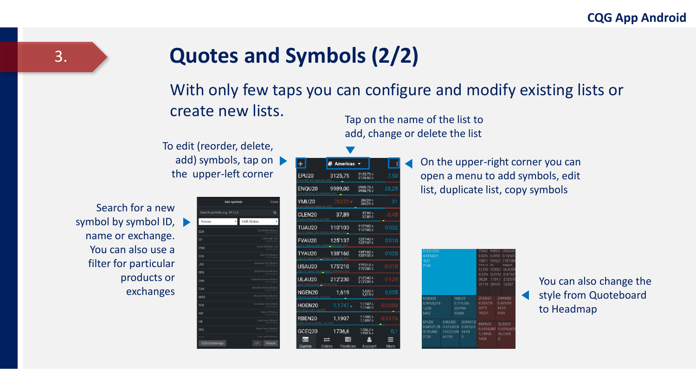### **Quotes and Symbols (2/2)**

### With only few taps you can configure and modify existing lists or create new lists.

To edit (reorder, delete, add) symbols, tap on the upper-left corner

Search for a new symbol by symbol ID, name or exchange. You can also use a filter for particular products or exchanges

|                              | Add symbols                   | Close    |
|------------------------------|-------------------------------|----------|
| Search symbols, e.g. EP, CLE |                               | $\alpha$ |
| Futures                      | CME/Globex<br>۰               |          |
| EDA                          | Eurodollar (Globes)           |          |
| EP                           | E-Mini S&P 500                |          |
| ENO                          | F-mini NASDAO-100             |          |
| EU <sub>6</sub>              | Euro FX (Globes)              |          |
| JY6                          | Japanese Yen (Globes)         |          |
| BP6                          | British Pound (Globes)        |          |
| DA6                          | Australian Dollar (Globes)    |          |
| CA6                          | Canadian Dollar (Globes)      |          |
| MX6                          | Mexican Peso (Globes)         |          |
| ED4                          | <b>Furodollar Front Month</b> |          |
| NIY                          | Nikkei 225 (Yen)              |          |
| HE                           | Lean Hogs (Globes)            |          |
| SF <sub>6</sub>              | Swiss Franc (Globes)          |          |
|                              | I has Cattle (Giobes)         |          |

| ÷.                 | $\blacksquare$ Americas $\blacktriangledown$ |                                 | ÷         |
|--------------------|----------------------------------------------|---------------------------------|-----------|
| <b>FPU20</b>       | 3125,75                                      | 3125,75 A<br>3125,50 B          | 7.50      |
| ENOU20             | 9989,00                                      | 9989,75A<br>9988.75B            | 28,25     |
| YMU20              | $26222 +$                                    | 26224 A<br>26221B               | 31        |
| CLEN20             | 37.89                                        | 37,90 A<br>37,89 <sub>B</sub>   | $-0.48$   |
| TUAU20             | 110'103                                      | 110'103A<br>110'102B            | 0'002     |
| FVAU <sub>20</sub> | 125'137                                      | 125'140 A<br>125'1378           | 0'010     |
| TYAU20             | 138'160                                      | 138'160 A<br>138'155B           | 0'020     |
| USAU20             | 175'210                                      | 175'210A<br>175'200 B           | $-0'010$  |
| ULAU20             | 212'230                                      | 212'240 A<br>212'230 B          | $-0'120$  |
| NGFN20             | 1.619                                        | 1,620 A<br>1,619B               | 0.005     |
| HOEN20             | $1.1747 \triangle$                           | 1,1747 A<br>1.1742 <sub>B</sub> | $-0.0080$ |
| RBEN20             | 1.1907                                       | 1.1905A<br>1,18978              | $-0.0176$ |
| GCEQ20             | 1736,6                                       | 1736.7 A<br>1736 6 B            | 0,1       |
| $\blacksquare$     |                                              |                                 |           |
| Ouotes             | Orders<br>Positions                          | Account                         | More      |

Tap on the name of the list to add, change or delete the list

> On the upper-right corner you can open a menu to add symbols, edit list, duplicate list, copy symbols

| <b>CLES1020</b><br>4.55%0.01<br>$-0.21$<br>2104                   |                                            |                                      | TYALL PAFLI2 USALI20<br>172.11<br>51<br>31719 33105 12537 | 0.02% 0.04%(0.16%0)<br>138'1: 1942.0 175'130<br>30662<br>CLENI GCEO2 ULAU20<br>0.23% 0.31%! 0.41%0<br>38.29 1731.1 212070 |
|-------------------------------------------------------------------|--------------------------------------------|--------------------------------------|-----------------------------------------------------------|---------------------------------------------------------------------------------------------------------------------------|
| NGEN20<br>0.99%0.016<br>1,630<br>6452                             |                                            | YMU20<br>0.71%186<br>26379A<br>43469 | <b>ZCEN20</b><br>0.53%16 0.60%31<br>3272<br>10225         | ZWAN20<br>4930<br>6066                                                                                                    |
| <b>FPU20</b><br>0.68%21.25 0.61%60.51 0.53%04<br>3139.50B<br>212K | FNOU20 SOMI017<br>10022.008 94'68<br>46790 | $\Omega$                             | RBEN20<br>1.19958<br>1438                                 | GLEQ20<br>0.65%0.007 0.65%0.625<br>96.150B<br>$\theta$                                                                    |

You can also change the style from Quoteboard to Headmap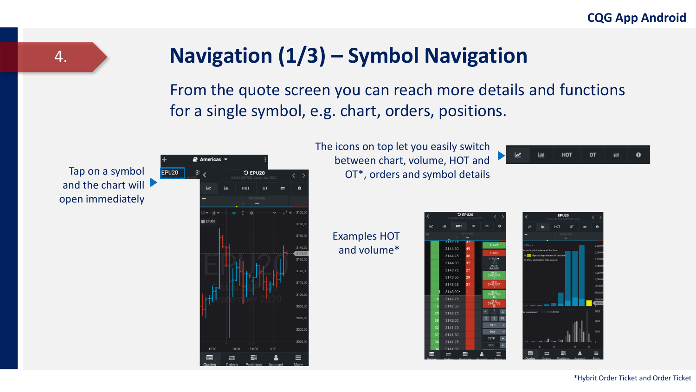### **Navigation (1/3) – Symbol Navigation**

From the quote screen you can reach more details and functions for a single symbol, e.g. chart, orders, positions.



The icons on top let you easily switch between chart, volume, HOT and OT\*, orders and symbol details

> rina. 3144.50 3144,25

3144.00 3143.75 3143.50 3143,25  $3143,00*$ 3142,75 3142,50

3141.50 3141.25

Examples HOT and volume\*

| -9 |                |                                         |        |               |                                      | <b>EPUZU</b>                                     |         |    |
|----|----------------|-----------------------------------------|--------|---------------|--------------------------------------|--------------------------------------------------|---------|----|
| OT | $\equiv$       | Ô                                       |        | ⊵             | <b>Lad</b>                           | HOT                                              | OT      | =  |
|    |                |                                         |        |               |                                      |                                                  | WORKING |    |
|    |                | <b>B1 MKT</b>                           |        | $5 Min -$     |                                      |                                                  |         |    |
|    |                | S1 MKT                                  |        |               | current explicit volume at this time | Is <b>812</b> of yesterday's volume at this time |         |    |
|    |                | 3143,00<br>242.76                       |        |               | Is 9% of vesterday's total volume    |                                                  |         |    |
|    |                | B/A:0,25<br>B1 <sub>0</sub><br>3143,00A |        |               |                                      |                                                  |         |    |
|    |                | 3143,00A                                |        |               |                                      |                                                  |         |    |
|    |                | 81@<br>3142,758                         |        |               |                                      |                                                  |         |    |
|    |                | 3142.75B                                |        |               |                                      |                                                  |         |    |
|    |                | 18<br>1                                 | ٥      |               | Rer comparison 10:20 10:25 10:30     |                                                  |         |    |
|    | $\overline{2}$ | $\overline{5}$                          | 10     |               |                                      |                                                  |         |    |
|    |                | <b>STP</b><br>DAY                       | н<br>٠ |               |                                      |                                                  |         |    |
|    | <b>TSTP</b>    |                                         | ٠      |               | ۵.                                   | <b>Security</b>                                  |         |    |
|    | $_{000}$       |                                         | ۰      |               | 8                                    | <b>Jul</b><br>10                                 | 15      | 17 |
|    |                |                                         |        | l⊫            |                                      | Orders Positions Account                         |         |    |
|    |                |                                         |        | <b>Quotes</b> |                                      |                                                  |         |    |

Tap on a symbol and the chart will open immediately

**EPU20** 

4.



\*Hybrit Order Ticket and Order Ticket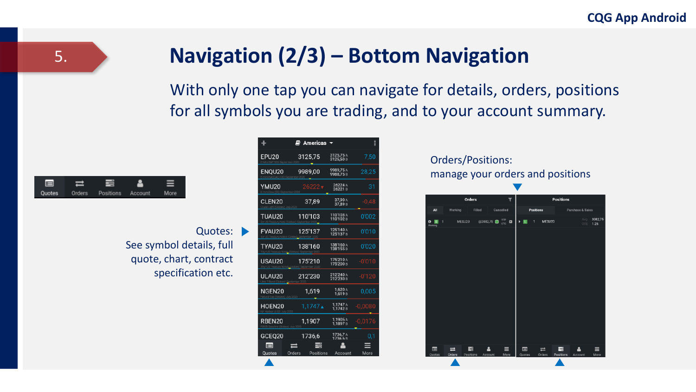### **Navigation (2/3) – Bottom Navigation**

With only one tap you can navigate for details, orders, positions for all symbols you are trading, and to your account summary.



5.

Quotes: See symbol details, full quote, chart, contract specification etc.

| ۰                        | <i>■</i> Americas   |                        | ŧ         |
|--------------------------|---------------------|------------------------|-----------|
| FPU <sub>20</sub>        | 3125.75             | 3125,75 A<br>3125,50 B | 7,50      |
| ENQU20                   | 9989,00             | 9989,75A<br>9988.75B   | 28,25     |
| YMU20                    | 26222               | 26224 A<br>26221B      | 31        |
| CLEN20                   | 37,89               | 37,90 A<br>37,89 B     | $-0.48$   |
| TUAU20                   | 110'103             | 110'103 A<br>110'102B  | 0'002     |
| FVAU20                   | 125'137             | 125'140 A<br>125'137 B | 0'010     |
| TYAU20                   | 138'160             | 138'160 A<br>138'155B  | 0'020     |
| USAU20                   | 175'210             | 175'210A<br>175'200 B  | $-0'010$  |
| ULAU20                   | 212'230             | 212'240 A<br>212'230 B | $-0'120$  |
| NGEN20                   | 1,619               | 1,620 A<br>1.619B      | 0.005     |
| HOEN20                   | 1.1747∡             | 1.1747 A<br>1.1742B    | 0.0080    |
| RBEN20                   | 1.1907              | 1,1905A<br>1.1897B     | $-0.0176$ |
| GCEO20                   | 1736.6              | 1736.7A<br>17366R      | 0.1       |
| $\blacksquare$<br>Quotes | Orders<br>Positions | Account                | More      |

#### Orders/Positions: manage your orders and positions

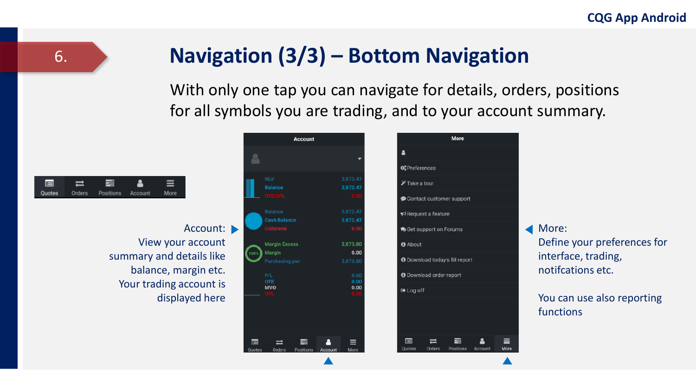### 6. **Navigation (3/3) – Bottom Navigation**

With only one tap you can navigate for details, orders, positions for all symbols you are trading, and to your account summary.



Account: View your account summary and details like balance, margin etc. Your trading account is displayed here

|             | Account                                  |                      |                                |
|-------------|------------------------------------------|----------------------|--------------------------------|
|             |                                          |                      | Δ                              |
|             |                                          |                      | <b>Q</b> <sup>8</sup> Preferer |
|             | <b>NLV</b>                               | 2,872.47             | $\mathscr Y$ Take a t          |
|             | <b>Balance</b><br><b>OTE/UPL</b>         | 2,872.47<br>0.00     | Contact                        |
|             | <b>Balance</b>                           | 2,872.47             | Request                        |
|             | <b>Cash Balance</b><br><b>Collateral</b> | 2,872.47<br>0.00     | <b>O</b> Get sup               |
|             | <b>Margin Excess</b>                     | 2,873.80             | <b>O</b> About                 |
| 100%        | Margin<br><b>Purchasing pwr</b>          | 0.00<br>2,873.80     | <b>O</b> Downloa               |
|             | P/L                                      | 0.00                 | <b>O</b> Downloa               |
|             | <b>OTE</b><br><b>MVO</b><br>UPL          | 0.00<br>0.00<br>0.00 | <b>■</b> Log off               |
|             |                                          |                      |                                |
|             |                                          |                      |                                |
|             |                                          |                      |                                |
| E<br>Quotes | ÷<br>Positions<br>Orders                 | =<br>Account<br>More | $\blacksquare$<br>Quotes       |

| <b>O</b> <sup>8</sup> Preferences                |
|--------------------------------------------------|
| $\mathscr Y$ Take a tour                         |
| Contact customer support                         |
| ₹ Request a feature                              |
| Get support on Forums                            |
| <b>O</b> About                                   |
| <b>O</b> Download today's fill report            |
| <b>O</b> Download order report                   |
| <b>D</b> + Log off                               |
|                                                  |
| Orders<br>Quotes<br>Positions<br>More<br>Account |

▲

More

More: Define your preferences for interface, trading, notifcations etc.

#### You can use also reporting functions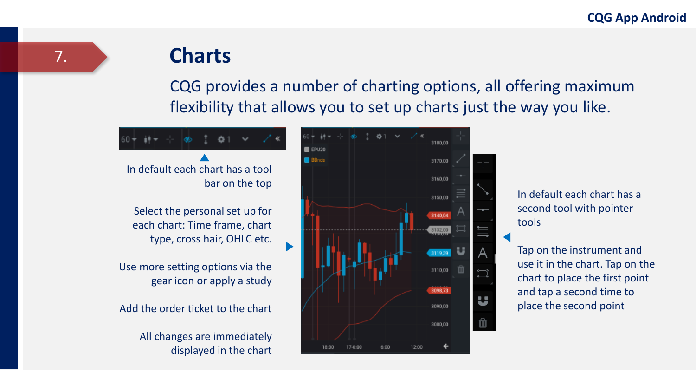# **Charts**

CQG provides a number of charting options, all offering maximum flexibility that allows you to set up charts just the way you like.

In default each chart has a tool bar on the top Select the personal set up for each chart: Time frame, chart type, cross hair, OHLC etc. Use more setting options via the gear icon or apply a study Add the order ticket to the chart All changes are immediately displayed in the chart



In default each chart has a second tool with pointer tools

Tap on the instrument and use it in the chart. Tap on the chart to place the first point and tap a second time to place the second point

7.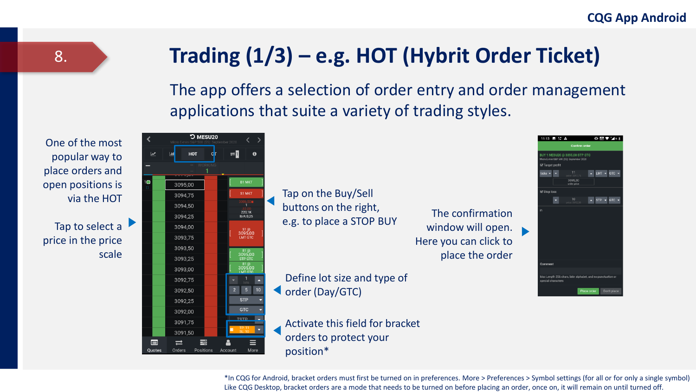### **Trading (1/3) – e.g. HOT (Hybrit Order Ticket)**

The app offers a selection of order entry and order management applications that suite a variety of trading styles.



Tap to select a price in the price scale



Tap on the Buy/Sell buttons on the right, e.g. to place a STOP BUY

The confirmation window will open. Here you can click to place the order

Define lot size and type of order (Day/GTC)

Activate this field for bracket orders to protect your position\*



\*In CQG for Android, bracket orders must first be turned on in preferences. More > Preferences > Symbol settings (for all or for only a single symbol) Like CQG Desktop, bracket orders are a mode that needs to be turned on before placing an order, once on, it will remain on until turned off.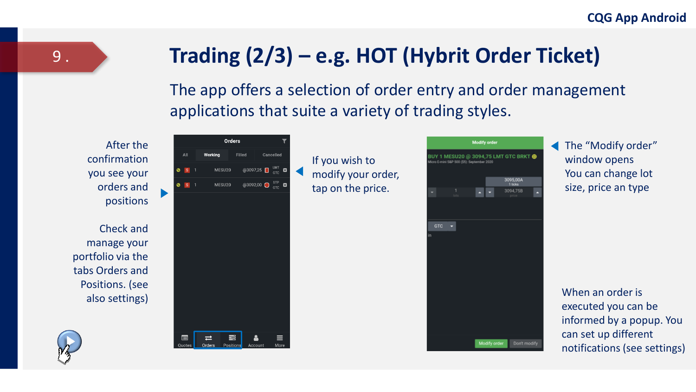### **Trading (2/3) – e.g. HOT (Hybrit Order Ticket)**

The app offers a selection of order entry and order management applications that suite a variety of trading styles.

After the confirmation you see your orders and positions

Check and manage your portfolio via the tabs Orders and Positions. (see also settings)



If you wish to modify your order, tap on the price.

|            |         | <b>Modify order</b>                        |                                       |  |
|------------|---------|--------------------------------------------|---------------------------------------|--|
|            |         | Micro E-mini S&P 500 (\$5): September 2020 | BUY 1 MESU20 @ 3094,75 LMT GTC BRKT @ |  |
|            |         |                                            |                                       |  |
|            |         |                                            | 3095,00A<br>1 ticks                   |  |
|            | 1<br>u. | ٠                                          | 3094,758                              |  |
|            |         |                                            |                                       |  |
|            |         |                                            |                                       |  |
| <b>GTC</b> | ۰       |                                            |                                       |  |
| in         |         |                                            |                                       |  |
|            |         |                                            |                                       |  |
|            |         |                                            |                                       |  |
|            |         |                                            |                                       |  |
|            |         |                                            |                                       |  |
|            |         |                                            |                                       |  |
|            |         |                                            |                                       |  |
|            |         |                                            |                                       |  |
|            |         |                                            |                                       |  |
|            |         | Modify order                               | Don't modify                          |  |

The "Modify order" window opens You can change lot size, price an type

When an order is executed you can be informed by a popup. You can set up different notifications (see settings)

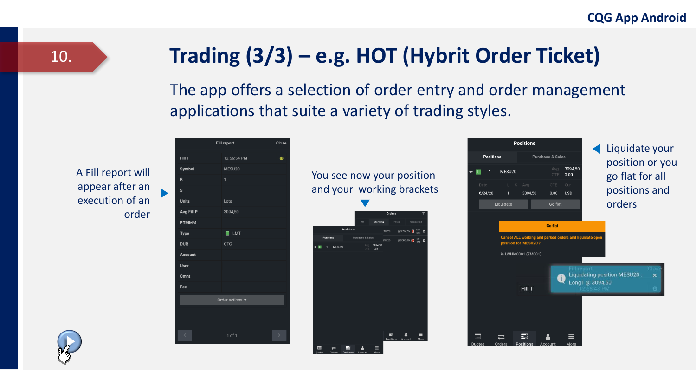## **Trading (3/3) – e.g. HOT (Hybrit Order Ticket)**

The app offers a selection of order entry and order management applications that suite a variety of trading styles.

A Fill report will appear after an execution of an order

|                | <b>Fill report</b>                 | Close    |
|----------------|------------------------------------|----------|
| Fill T         | 12:56:54 PM                        | $\bf{0}$ |
| Symbol         | MESU20                             |          |
| B              | 1                                  |          |
| s              |                                    |          |
| <b>Units</b>   | Lots                               |          |
| Avg Fill P     | 3094,50                            |          |
| <b>PTMMM</b>   |                                    |          |
| <b>Type</b>    | $\blacksquare$ LMT                 |          |
| <b>DUR</b>     | GTC                                |          |
| <b>Account</b> |                                    |          |
| User           |                                    |          |
| Cmnt           |                                    |          |
| Fee            |                                    |          |
|                | Order actions $\blacktriangledown$ |          |
|                |                                    |          |
|                |                                    |          |
| ¢              | 1 of 1                             | ×        |

| You see now your position<br>and your working brackets |                  |             |                   |             |  |
|--------------------------------------------------------|------------------|-------------|-------------------|-------------|--|
|                                                        |                  | Orders      |                   |             |  |
|                                                        |                  | Working     |                   | Cancelled   |  |
| <b>Positions</b>                                       |                  | 331/20      | @3097,25          | ⊠<br>$\sim$ |  |
| Positions                                              | Purchase & Sales | <b>SU20</b> | @3092,00 <b>□</b> | ø           |  |
| MESU20                                                 | 1.25             | 3094.50     |                   |             |  |
|                                                        |                  |             |                   |             |  |
|                                                        |                  |             |                   |             |  |
|                                                        |                  |             |                   |             |  |
|                                                        |                  |             |                   |             |  |
|                                                        |                  |             |                   |             |  |
|                                                        |                  |             |                   |             |  |
|                                                        |                  |             |                   |             |  |
|                                                        |                  |             |                   |             |  |
|                                                        |                  |             |                   |             |  |
|                                                        |                  |             |                   |             |  |
|                                                        |                  |             |                   |             |  |

| <b>Positions</b> |                        |                  | Liquidate your                                          |                 |                 |                                    |                  |
|------------------|------------------------|------------------|---------------------------------------------------------|-----------------|-----------------|------------------------------------|------------------|
| <b>Positions</b> |                        | Purchase & Sales |                                                         |                 |                 |                                    |                  |
| MESU20<br>1      |                        |                  | Ava<br>OTE                                              | 3094,50<br>0.00 |                 | position or you<br>go flat for all |                  |
| Date             | $L_S$                  | Avg              | <b>OTE</b>                                              | Cur             |                 |                                    |                  |
| 6/24/20          | 1                      | 3094.50          | 0.00                                                    | <b>USD</b>      |                 | positions and                      |                  |
|                  | Liquidate              |                  | Go flat                                                 |                 |                 | orders                             |                  |
|                  |                        |                  |                                                         |                 |                 |                                    |                  |
|                  |                        |                  | <b>Go flat</b>                                          |                 |                 |                                    |                  |
|                  | position for 'MESU20'? |                  | Cancel ALL working and parked orders and liquidate open |                 |                 |                                    |                  |
|                  | in LWHM0001 (ZM001)    |                  |                                                         |                 |                 |                                    |                  |
|                  |                        | <b>Fill T</b>    |                                                         | Fill report     | Long1 @ 3094,50 | Liquidating position MESU20:       | $\mathbf x$<br>ด |
| 目                |                        | ⋿                |                                                         |                 |                 |                                    |                  |
| <b>Quotes</b>    | Orders                 | Positions        | Account                                                 | More            |                 |                                    |                  |